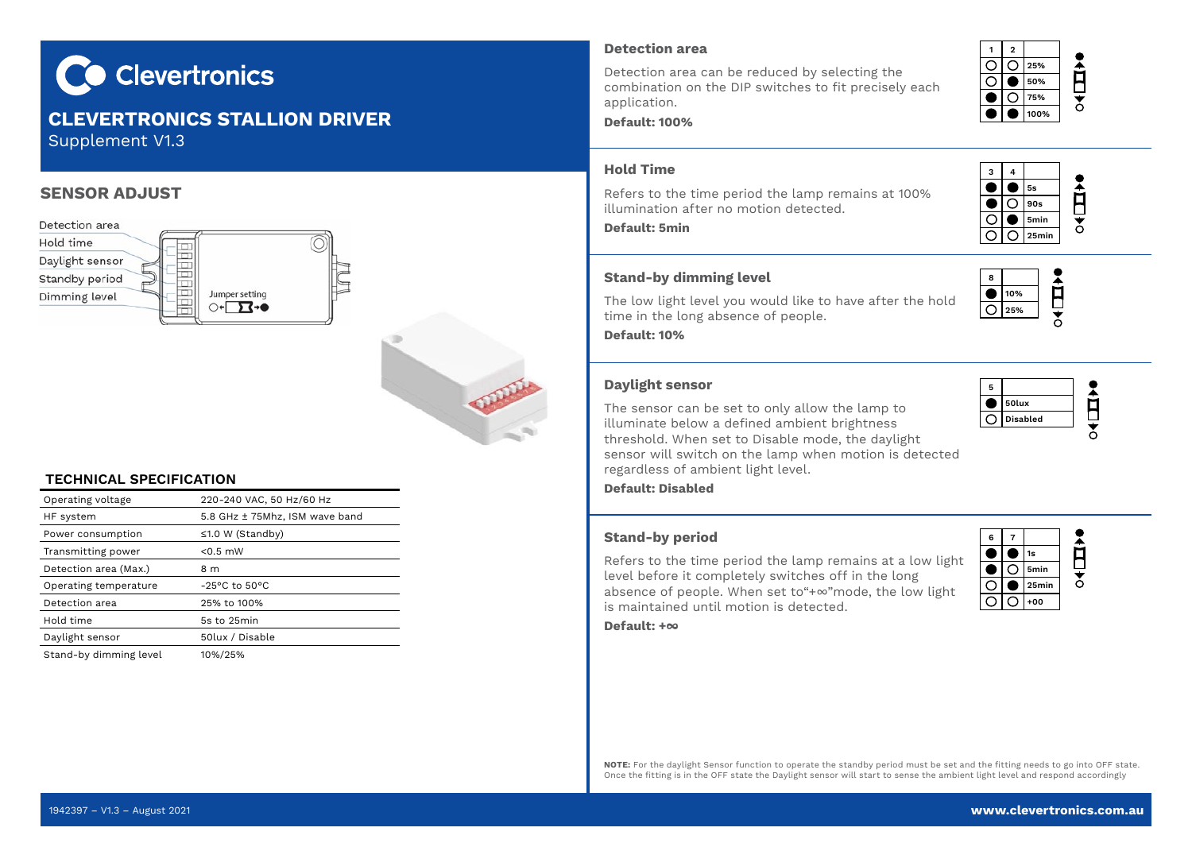

# **CLEVERTRONICS STALLION DRIVER**  Supplement V1.3

# **SENSOR ADJUST**





### **TECHNICAL SPECIFICATION**

| Operating voltage      | 220-240 VAC, 50 Hz/60 Hz       |
|------------------------|--------------------------------|
| HF system              | 5.8 GHz ± 75Mhz, ISM wave band |
| Power consumption      | $\leq 1.0 W$ (Standby)         |
| Transmitting power     | $< 0.5$ mW                     |
| Detection area (Max.)  | 8 m                            |
| Operating temperature  | $-25$ °C to $50$ °C            |
| Detection area         | 25% to 100%                    |
| Hold time              | 5s to 25min                    |
| Daylight sensor        | 50lux / Disable                |
| Stand-by dimming level | 10%/25%                        |

## **Detection area**

Detection area can be reduced by selecting the combination on the DIP switches to fit precisely each application.



**3 4 6** 5s **9**  $\overline{O}$  90s **5min**

**25%**

#### **Default: 100%**

### **Hold Time**

Refers to the time period the lamp remains at 100% illumination after no motion detected.

**Default: 5min**

# **Stand-by dimming level**

The low light level you would like to have after the hold time in the long absence of people.

**Default: 10%**

# **Daylight sensor**

The sensor can be set to only allow the lamp to illuminate below a defined ambient brightness threshold. When set to Disable mode, the daylight sensor will switch on the lamp when motion is detected regardless of ambient light level.

**Default: Disabled**

### **Stand-by period**

Refers to the time period the lamp remains at a low light level before it completely switches off in the long absence of people. When set to"+∞"mode, the low light is maintained until motion is detected.

| 6 |                  |  |
|---|------------------|--|
|   | 1s               |  |
|   | 5 <sub>min</sub> |  |
|   | 25min            |  |
|   | $+00$            |  |

#### **Default: +∞**

**NOTE:** For the daylight Sensor function to operate the standby period must be set and the fitting needs to go into OFF state. Once the fitting is in the OFF state the Daylight sensor will start to sense the ambient light level and respond accordingly

|   |     | 5s               |  |
|---|-----|------------------|--|
|   |     | 90s              |  |
|   |     | 5 <sub>min</sub> |  |
|   |     | 25min            |  |
|   |     |                  |  |
|   |     |                  |  |
| 8 |     |                  |  |
|   | 10% |                  |  |
|   | 25% |                  |  |
|   |     |                  |  |

| 5 |                 |  |
|---|-----------------|--|
|   | 50lux           |  |
|   | <b>Disabled</b> |  |
|   |                 |  |